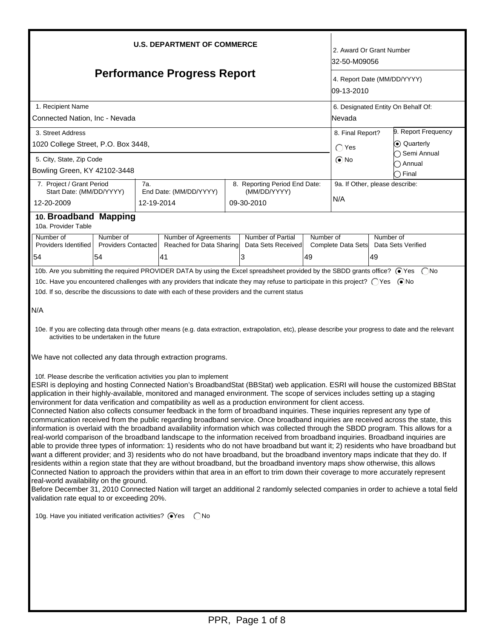| <b>U.S. DEPARTMENT OF COMMERCE</b>                                                                                                                                                                                                                                                                                                                                                                                                                                                                                                                                                                                                                                                                                                                                                                                                                                                                                                                                                                                                                                                                                                                                                                                                                                                                                                                                                                                                                                                                                                                                                                                                                                                                                                                                                                                                                                                                                                                                                                                                                                                                                                                                                                                                                                                                                                                                                                                                                                                                      |                                                                                                                                                                                                                              |  |                                                               |  |                                              |                 | 2. Award Or Grant Number<br>32-50-M09056                 |                                               |                                                                 |  |
|---------------------------------------------------------------------------------------------------------------------------------------------------------------------------------------------------------------------------------------------------------------------------------------------------------------------------------------------------------------------------------------------------------------------------------------------------------------------------------------------------------------------------------------------------------------------------------------------------------------------------------------------------------------------------------------------------------------------------------------------------------------------------------------------------------------------------------------------------------------------------------------------------------------------------------------------------------------------------------------------------------------------------------------------------------------------------------------------------------------------------------------------------------------------------------------------------------------------------------------------------------------------------------------------------------------------------------------------------------------------------------------------------------------------------------------------------------------------------------------------------------------------------------------------------------------------------------------------------------------------------------------------------------------------------------------------------------------------------------------------------------------------------------------------------------------------------------------------------------------------------------------------------------------------------------------------------------------------------------------------------------------------------------------------------------------------------------------------------------------------------------------------------------------------------------------------------------------------------------------------------------------------------------------------------------------------------------------------------------------------------------------------------------------------------------------------------------------------------------------------------------|------------------------------------------------------------------------------------------------------------------------------------------------------------------------------------------------------------------------------|--|---------------------------------------------------------------|--|----------------------------------------------|-----------------|----------------------------------------------------------|-----------------------------------------------|-----------------------------------------------------------------|--|
| <b>Performance Progress Report</b>                                                                                                                                                                                                                                                                                                                                                                                                                                                                                                                                                                                                                                                                                                                                                                                                                                                                                                                                                                                                                                                                                                                                                                                                                                                                                                                                                                                                                                                                                                                                                                                                                                                                                                                                                                                                                                                                                                                                                                                                                                                                                                                                                                                                                                                                                                                                                                                                                                                                      |                                                                                                                                                                                                                              |  |                                                               |  |                                              |                 | 4. Report Date (MM/DD/YYYY)<br>109-13-2010               |                                               |                                                                 |  |
| 1. Recipient Name<br>Connected Nation, Inc - Nevada                                                                                                                                                                                                                                                                                                                                                                                                                                                                                                                                                                                                                                                                                                                                                                                                                                                                                                                                                                                                                                                                                                                                                                                                                                                                                                                                                                                                                                                                                                                                                                                                                                                                                                                                                                                                                                                                                                                                                                                                                                                                                                                                                                                                                                                                                                                                                                                                                                                     |                                                                                                                                                                                                                              |  |                                                               |  |                                              |                 |                                                          | 6. Designated Entity On Behalf Of:<br> Nevada |                                                                 |  |
| 3. Street Address<br>1020 College Street, P.O. Box 3448,<br>5. City, State, Zip Code                                                                                                                                                                                                                                                                                                                                                                                                                                                                                                                                                                                                                                                                                                                                                                                                                                                                                                                                                                                                                                                                                                                                                                                                                                                                                                                                                                                                                                                                                                                                                                                                                                                                                                                                                                                                                                                                                                                                                                                                                                                                                                                                                                                                                                                                                                                                                                                                                    |                                                                                                                                                                                                                              |  |                                                               |  |                                              |                 | 8. Final Report?<br>$\bigcirc$ Yes<br>$\odot$ No         |                                               | 9. Report Frequency<br>(●) Quarterly<br>◯ Semi Annual<br>Annual |  |
| 12-20-2009<br>10a. Provider Table                                                                                                                                                                                                                                                                                                                                                                                                                                                                                                                                                                                                                                                                                                                                                                                                                                                                                                                                                                                                                                                                                                                                                                                                                                                                                                                                                                                                                                                                                                                                                                                                                                                                                                                                                                                                                                                                                                                                                                                                                                                                                                                                                                                                                                                                                                                                                                                                                                                                       | Bowling Green, KY 42102-3448<br>7. Project / Grant Period<br>7a.<br>8. Reporting Period End Date:<br>Start Date: (MM/DD/YYYY)<br>End Date: (MM/DD/YYYY)<br>(MM/DD/YYYY)<br>09-30-2010<br>12-19-2014<br>10. Broadband Mapping |  |                                                               |  |                                              |                 | ◯ Final<br>9a. If Other, please describe:<br>N/A         |                                               |                                                                 |  |
| Number of<br>Providers Identified<br>54                                                                                                                                                                                                                                                                                                                                                                                                                                                                                                                                                                                                                                                                                                                                                                                                                                                                                                                                                                                                                                                                                                                                                                                                                                                                                                                                                                                                                                                                                                                                                                                                                                                                                                                                                                                                                                                                                                                                                                                                                                                                                                                                                                                                                                                                                                                                                                                                                                                                 | Number of<br><b>Providers Contacted</b><br>54                                                                                                                                                                                |  | <b>Number of Agreements</b><br>Reached for Data Sharing<br>41 |  | Number of Partial<br>Data Sets Received<br>3 | Number of<br>49 | Number of<br>Complete Data Sets Data Sets Verified<br>49 |                                               |                                                                 |  |
| 10b. Are you submitting the required PROVIDER DATA by using the Excel spreadsheet provided by the SBDD grants office? ⊙Yes (No<br>10c. Have you encountered challenges with any providers that indicate they may refuse to participate in this project? ○ Yes ● No<br>10d. If so, describe the discussions to date with each of these providers and the current status<br>N/A<br>10e. If you are collecting data through other means (e.g. data extraction, extrapolation, etc), please describe your progress to date and the relevant<br>activities to be undertaken in the future<br>We have not collected any data through extraction programs.<br>10f. Please describe the verification activities you plan to implement<br>ESRI is deploying and hosting Connected Nation's BroadbandStat (BBStat) web application. ESRI will house the customized BBStat<br>application in their highly-available, monitored and managed environment. The scope of services includes setting up a staging<br>environment for data verification and compatibility as well as a production environment for client access.<br>Connected Nation also collects consumer feedback in the form of broadband inquiries. These inquiries represent any type of<br>communication received from the public regarding broadband service. Once broadband inquiries are received across the state, this<br>information is overlaid with the broadband availability information which was collected through the SBDD program. This allows for a<br>real-world comparison of the broadband landscape to the information received from broadband inquiries. Broadband inquiries are<br>able to provide three types of information: 1) residents who do not have broadband but want it; 2) residents who have broadband but<br>want a different provider; and 3) residents who do not have broadband, but the broadband inventory maps indicate that they do. If<br>residents within a region state that they are without broadband, but the broadband inventory maps show otherwise, this allows<br>Connected Nation to approach the providers within that area in an effort to trim down their coverage to more accurately represent<br>real-world availability on the ground.<br>Before December 31, 2010 Connected Nation will target an additional 2 randomly selected companies in order to achieve a total field<br>validation rate equal to or exceeding 20%.<br>10g. Have you initiated verification activities? @Yes CNo |                                                                                                                                                                                                                              |  |                                                               |  |                                              |                 |                                                          |                                               |                                                                 |  |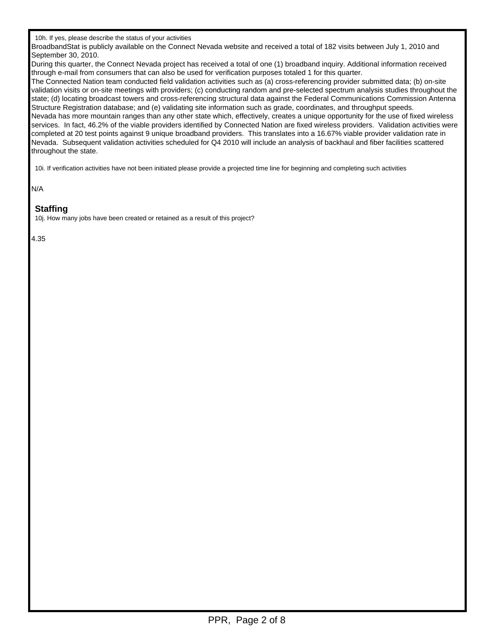BroadbandStat is publicly available on the Connect Nevada website and received a total of 182 visits between July 1, 2010 and September 30, 2010.

During this quarter, the Connect Nevada project has received a total of one (1) broadband inquiry. Additional information received through e-mail from consumers that can also be used for verification purposes totaled 1 for this quarter.

The Connected Nation team conducted field validation activities such as (a) cross-referencing provider submitted data; (b) on-site validation visits or on-site meetings with providers; (c) conducting random and pre-selected spectrum analysis studies throughout the state; (d) locating broadcast towers and cross-referencing structural data against the Federal Communications Commission Antenna Structure Registration database; and (e) validating site information such as grade, coordinates, and throughput speeds. Nevada has more mountain ranges than any other state which, effectively, creates a unique opportunity for the use of fixed wireless services. In fact, 46.2% of the viable providers identified by Connected Nation are fixed wireless providers. Validation activities were completed at 20 test points against 9 unique broadband providers. This translates into a 16.67% viable provider validation rate in Nevada. Subsequent validation activities scheduled for Q4 2010 will include an analysis of backhaul and fiber facilities scattered throughout the state.

10i. If verification activities have not been initiated please provide a projected time line for beginning and completing such activities

N/A

## **Staffing**

10j. How many jobs have been created or retained as a result of this project?

4.35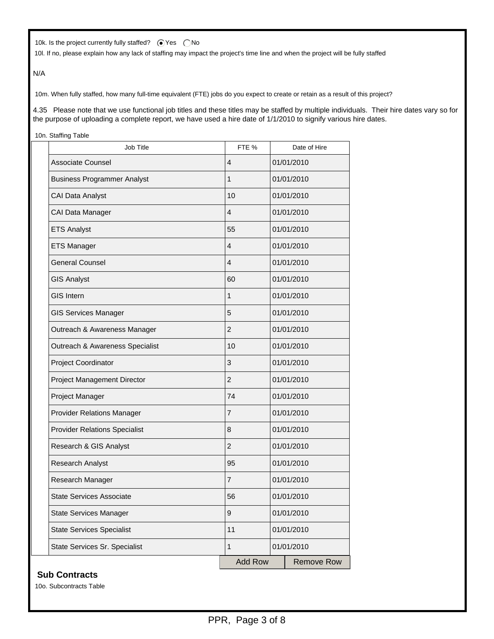10k. Is the project currently fully staffed?  $\bigcirc$  Yes  $\bigcirc$  No

10l. If no, please explain how any lack of staffing may impact the project's time line and when the project will be fully staffed

N/A

10m. When fully staffed, how many full-time equivalent (FTE) jobs do you expect to create or retain as a result of this project?

4.35 Please note that we use functional job titles and these titles may be staffed by multiple individuals. Their hire dates vary so for the purpose of uploading a complete report, we have used a hire date of 1/1/2010 to signify various hire dates.

10n. Staffing Table

| <b>Job Title</b>                     | FTE %          | Date of Hire      |  |  |
|--------------------------------------|----------------|-------------------|--|--|
| <b>Associate Counsel</b>             | 4              | 01/01/2010        |  |  |
| <b>Business Programmer Analyst</b>   | 1              | 01/01/2010        |  |  |
| <b>CAI Data Analyst</b>              | 10             | 01/01/2010        |  |  |
| CAI Data Manager                     | 4              | 01/01/2010        |  |  |
| <b>ETS Analyst</b>                   | 55             | 01/01/2010        |  |  |
| <b>ETS Manager</b>                   | 4              | 01/01/2010        |  |  |
| <b>General Counsel</b>               | 4              | 01/01/2010        |  |  |
| <b>GIS Analyst</b>                   | 60             | 01/01/2010        |  |  |
| <b>GIS Intern</b>                    | 1              | 01/01/2010        |  |  |
| <b>GIS Services Manager</b>          | 5              | 01/01/2010        |  |  |
| Outreach & Awareness Manager         | $\overline{2}$ | 01/01/2010        |  |  |
| Outreach & Awareness Specialist      | 10             | 01/01/2010        |  |  |
| Project Coordinator                  | 3              | 01/01/2010        |  |  |
| Project Management Director          | $\overline{2}$ | 01/01/2010        |  |  |
| Project Manager                      | 74             | 01/01/2010        |  |  |
| <b>Provider Relations Manager</b>    | 7              | 01/01/2010        |  |  |
| <b>Provider Relations Specialist</b> | 8              | 01/01/2010        |  |  |
| Research & GIS Analyst               | $\overline{2}$ | 01/01/2010        |  |  |
| <b>Research Analyst</b>              | 95             | 01/01/2010        |  |  |
| Research Manager                     | $\overline{7}$ | 01/01/2010        |  |  |
| State Services Associate             | 56             | 01/01/2010        |  |  |
| <b>State Services Manager</b>        | 9              | 01/01/2010        |  |  |
| <b>State Services Specialist</b>     | 11             | 01/01/2010        |  |  |
| State Services Sr. Specialist        | $\mathbf{1}$   | 01/01/2010        |  |  |
|                                      | <b>Add Row</b> | <b>Remove Row</b> |  |  |

### **Sub Contracts**

10o. Subcontracts Table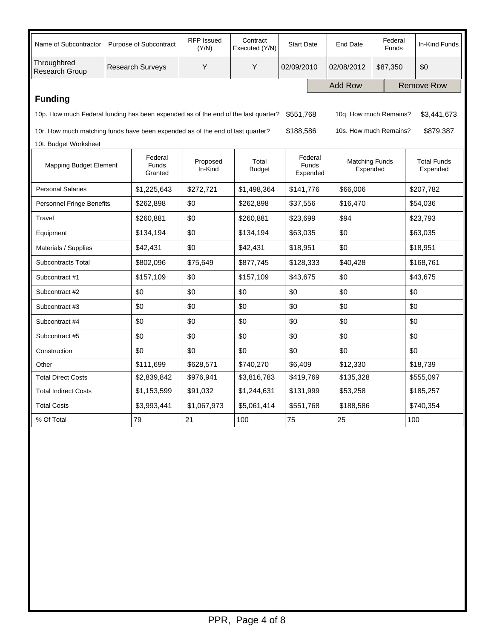| Name of Subcontractor                                                                                                                    | Purpose of Subcontract  |                             | <b>RFP Issued</b><br>(Y/N) | Contract<br>Executed (Y/N) | <b>Start Date</b> |                                     | <b>End Date</b>                   | Federal<br>Funds     | In-Kind Funds                  |
|------------------------------------------------------------------------------------------------------------------------------------------|-------------------------|-----------------------------|----------------------------|----------------------------|-------------------|-------------------------------------|-----------------------------------|----------------------|--------------------------------|
| Throughbred<br>Research Group                                                                                                            | <b>Research Surveys</b> |                             | Y                          | Y                          | 02/09/2010        |                                     | 02/08/2012                        | \$87,350             | \$0                            |
|                                                                                                                                          |                         |                             |                            |                            |                   |                                     | <b>Add Row</b>                    |                      | <b>Remove Row</b>              |
| <b>Funding</b>                                                                                                                           |                         |                             |                            |                            |                   |                                     |                                   |                      |                                |
| \$551,768<br>10q. How much Remains?<br>\$3,441,673<br>10p. How much Federal funding has been expended as of the end of the last quarter? |                         |                             |                            |                            |                   |                                     |                                   |                      |                                |
| \$188,586<br>10s. How much Remains?<br>\$879,387<br>10r. How much matching funds have been expended as of the end of last quarter?       |                         |                             |                            |                            |                   |                                     |                                   |                      |                                |
| 10t. Budget Worksheet                                                                                                                    |                         |                             |                            |                            |                   |                                     |                                   |                      |                                |
| Mapping Budget Element                                                                                                                   |                         | Federal<br>Funds<br>Granted | Proposed<br>In-Kind        | Total<br><b>Budget</b>     |                   | Federal<br><b>Funds</b><br>Expended | <b>Matching Funds</b><br>Expended |                      | <b>Total Funds</b><br>Expended |
| <b>Personal Salaries</b>                                                                                                                 |                         | \$1,225,643                 | \$272,721                  | \$1,498,364                |                   | \$141,776                           | \$66,006                          |                      | \$207,782                      |
| <b>Personnel Fringe Benefits</b>                                                                                                         |                         | \$262,898                   | \$0                        | \$262,898                  |                   | \$37,556                            | \$16,470                          |                      | \$54,036                       |
| Travel                                                                                                                                   |                         | \$260,881                   | \$0                        | \$260,881                  |                   | \$23,699                            | \$94                              |                      | \$23,793                       |
| Equipment                                                                                                                                |                         | \$134,194                   | \$0                        | \$134,194                  |                   | \$63,035                            | \$0                               |                      | \$63,035                       |
| Materials / Supplies                                                                                                                     |                         | \$42,431                    | \$0                        | \$42,431                   |                   | \$18,951<br>\$0                     |                                   |                      | \$18,951                       |
| Subcontracts Total                                                                                                                       |                         | \$802,096                   | \$75,649                   | \$877,745                  |                   | \$128,333                           | \$40,428                          |                      | \$168,761                      |
| Subcontract #1                                                                                                                           |                         | \$157,109                   | \$0                        | \$157,109                  |                   | \$43,675                            | \$0                               |                      | \$43,675                       |
| Subcontract #2                                                                                                                           |                         | \$0                         | \$0                        | \$0                        | \$0               |                                     | \$0                               |                      | \$0                            |
| Subcontract #3                                                                                                                           |                         | \$0                         | \$0                        | \$0                        | \$0               |                                     | \$0                               |                      | \$0                            |
| Subcontract #4                                                                                                                           |                         | \$0                         | \$0                        | \$0                        | \$0               | \$0                                 |                                   |                      | \$0                            |
| Subcontract #5                                                                                                                           |                         | \$0                         | \$0                        | \$0                        | \$0               | \$0                                 |                                   |                      | \$0                            |
| Construction                                                                                                                             |                         | \$0                         | \$0                        | \$0                        | \$0               | \$0                                 |                                   |                      | \$0                            |
| Other                                                                                                                                    |                         | \$111,699                   | \$628,571                  | \$740,270                  |                   | \$6,409                             |                                   | \$12,330<br>\$18,739 |                                |
| <b>Total Direct Costs</b>                                                                                                                |                         | \$2,839,842                 | \$976,941                  | \$3,816,783                |                   | \$419,769<br>\$135,328              |                                   |                      | \$555,097                      |
| <b>Total Indirect Costs</b>                                                                                                              |                         | \$1,153,599                 | \$91,032                   | \$1,244,631                |                   | \$131,999                           | \$53,258                          | \$185,257            |                                |
| <b>Total Costs</b>                                                                                                                       |                         | \$3,993,441                 | \$1,067,973                | \$5,061,414                | \$551,768         |                                     | \$188,586                         |                      | \$740,354                      |
| % Of Total                                                                                                                               |                         | 79                          | 21                         | 100                        | 75                |                                     | 25                                |                      | 100                            |
|                                                                                                                                          |                         |                             |                            |                            |                   |                                     |                                   |                      |                                |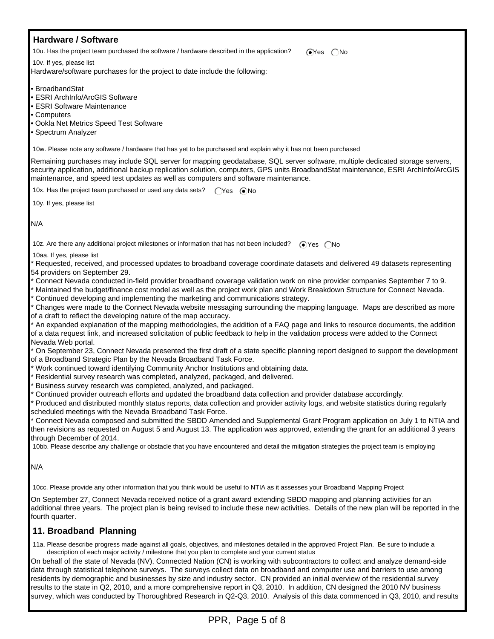#### **Hardware / Software** 10u. Has the project team purchased the software / hardware described in the application?  $\bigcirc$ Yes  $\bigcirc$ No 10v. If yes, please list Hardware/software purchases for the project to date include the following: • BroadbandStat • ESRI ArchInfo/ArcGIS Software • ESRI Software Maintenance • Computers • Ookla Net Metrics Speed Test Software • Spectrum Analyzer 10w. Please note any software / hardware that has yet to be purchased and explain why it has not been purchased Remaining purchases may include SQL server for mapping geodatabase, SQL server software, multiple dedicated storage servers, security application, additional backup replication solution, computers, GPS units BroadbandStat maintenance, ESRI ArchInfo/ArcGIS maintenance, and speed test updates as well as computers and software maintenance. 10x. Has the project team purchased or used any data sets?  $\bigcap$ Yes  $\bigcirc$ No 10y. If yes, please list N/A 10z. Are there any additional project milestones or information that has not been included?  $\bigcirc$  Yes  $\bigcirc$  No 10aa. If yes, please list Requested, received, and processed updates to broadband coverage coordinate datasets and delivered 49 datasets representing 54 providers on September 29. \* Connect Nevada conducted in-field provider broadband coverage validation work on nine provider companies September 7 to 9. Maintained the budget/finance cost model as well as the project work plan and Work Breakdown Structure for Connect Nevada. Continued developing and implementing the marketing and communications strategy. Changes were made to the Connect Nevada website messaging surrounding the mapping language. Maps are described as more of a draft to reflect the developing nature of the map accuracy. An expanded explanation of the mapping methodologies, the addition of a FAQ page and links to resource documents, the addition of a data request link, and increased solicitation of public feedback to help in the validation process were added to the Connect Nevada Web portal. On September 23, Connect Nevada presented the first draft of a state specific planning report designed to support the development of a Broadband Strategic Plan by the Nevada Broadband Task Force. \* Work continued toward identifying Community Anchor Institutions and obtaining data. Residential survey research was completed, analyzed, packaged, and delivered. Business survey research was completed, analyzed, and packaged. Continued provider outreach efforts and updated the broadband data collection and provider database accordingly. Produced and distributed monthly status reports, data collection and provider activity logs, and website statistics during regularly scheduled meetings with the Nevada Broadband Task Force. \* Connect Nevada composed and submitted the SBDD Amended and Supplemental Grant Program application on July 1 to NTIA and then revisions as requested on August 5 and August 13. The application was approved, extending the grant for an additional 3 years through December of 2014. 10bb. Please describe any challenge or obstacle that you have encountered and detail the mitigation strategies the project team is employing N/A 10cc. Please provide any other information that you think would be useful to NTIA as it assesses your Broadband Mapping Project On September 27, Connect Nevada received notice of a grant award extending SBDD mapping and planning activities for an additional three years. The project plan is being revised to include these new activities. Details of the new plan will be reported in the fourth quarter.  **11. Broadband Planning** 11a. Please describe progress made against all goals, objectives, and milestones detailed in the approved Project Plan. Be sure to include a description of each major activity / milestone that you plan to complete and your current status On behalf of the state of Nevada (NV), Connected Nation (CN) is working with subcontractors to collect and analyze demand-side

data through statistical telephone surveys. The surveys collect data on broadband and computer use and barriers to use among residents by demographic and businesses by size and industry sector. CN provided an initial overview of the residential survey results to the state in Q2, 2010, and a more comprehensive report in Q3, 2010. In addition, CN designed the 2010 NV business survey, which was conducted by Thoroughbred Research in Q2-Q3, 2010. Analysis of this data commenced in Q3, 2010, and results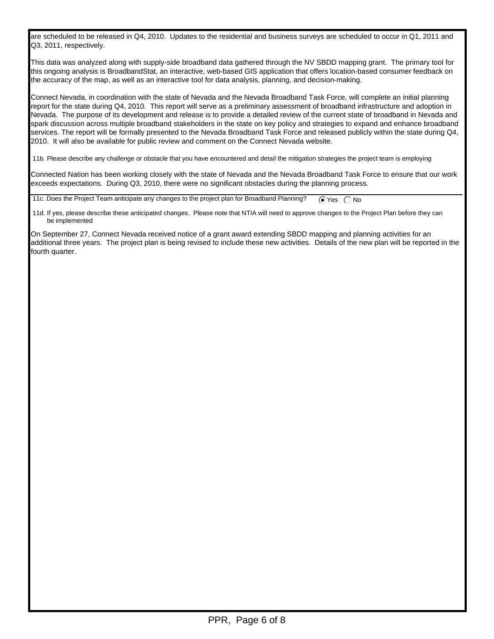are scheduled to be released in Q4, 2010. Updates to the residential and business surveys are scheduled to occur in Q1, 2011 and Q3, 2011, respectively.

This data was analyzed along with supply-side broadband data gathered through the NV SBDD mapping grant. The primary tool for this ongoing analysis is BroadbandStat, an interactive, web-based GIS application that offers location-based consumer feedback on the accuracy of the map, as well as an interactive tool for data analysis, planning, and decision-making.

Connect Nevada, in coordination with the state of Nevada and the Nevada Broadband Task Force, will complete an initial planning report for the state during Q4, 2010. This report will serve as a preliminary assessment of broadband infrastructure and adoption in Nevada. The purpose of its development and release is to provide a detailed review of the current state of broadband in Nevada and spark discussion across multiple broadband stakeholders in the state on key policy and strategies to expand and enhance broadband services. The report will be formally presented to the Nevada Broadband Task Force and released publicly within the state during Q4, 2010. It will also be available for public review and comment on the Connect Nevada website.

11b. Please describe any challenge or obstacle that you have encountered and detail the mitigation strategies the project team is employing

Connected Nation has been working closely with the state of Nevada and the Nevada Broadband Task Force to ensure that our work exceeds expectations. During Q3, 2010, there were no significant obstacles during the planning process.

11c. Does the Project Team anticipate any changes to the project plan for Broadband Planning?  $\bigcirc$  Yes  $\bigcirc$  No

 11d. If yes, please describe these anticipated changes. Please note that NTIA will need to approve changes to the Project Plan before they can be implemented

On September 27, Connect Nevada received notice of a grant award extending SBDD mapping and planning activities for an additional three years. The project plan is being revised to include these new activities. Details of the new plan will be reported in the fourth quarter.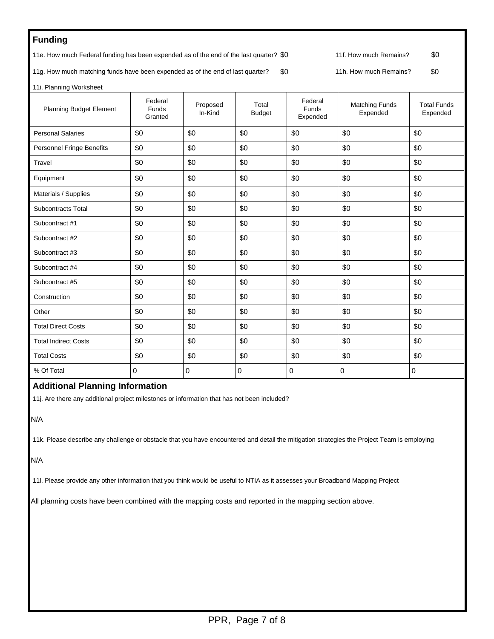# **Funding**

11e. How much Federal funding has been expended as of the end of the last quarter? \$0 11f. How much Remains? \$0

11g. How much matching funds have been expended as of the end of last quarter? \$0 11h. How much Remains? \$0

11i. Planning Worksheet

| <b>Planning Budget Element</b>   | Federal<br>Funds<br>Granted | Proposed<br>In-Kind | Total<br><b>Budget</b> | Federal<br>Funds<br>Expended | <b>Matching Funds</b><br>Expended | <b>Total Funds</b><br>Expended |
|----------------------------------|-----------------------------|---------------------|------------------------|------------------------------|-----------------------------------|--------------------------------|
| <b>Personal Salaries</b>         | \$0                         | \$0                 | \$0                    | \$0                          | \$0                               | \$0                            |
| <b>Personnel Fringe Benefits</b> | \$0                         | \$0                 | \$0                    | \$0                          | \$0                               |                                |
| Travel                           | \$0                         | \$0                 | \$0                    | \$0                          | \$0                               | \$0                            |
| Equipment                        | \$0                         | \$0                 | \$0                    | \$0                          | \$0                               | \$0                            |
| Materials / Supplies             | \$0                         | \$0                 | \$0                    | \$0                          | \$0                               | \$0                            |
| Subcontracts Total               | \$0                         | \$0                 | \$0                    | \$0                          | \$0                               | \$0                            |
| Subcontract #1                   | \$0                         | \$0                 | \$0                    | \$0                          | \$0                               | \$0                            |
| Subcontract #2                   | \$0                         | \$0                 | \$0                    | \$0                          | \$0                               | \$0                            |
| Subcontract #3                   | \$0                         | \$0                 | \$0                    | \$0                          | \$0                               | \$0                            |
| Subcontract #4                   | \$0                         | \$0                 | \$0                    | \$0                          | \$0                               | \$0                            |
| Subcontract #5                   | \$0                         | \$0                 | \$0                    | \$0                          | \$0                               | \$0                            |
| Construction                     | \$0                         | \$0                 | \$0                    | \$0                          | \$0                               | \$0                            |
| Other                            | \$0                         | \$0                 | \$0                    | \$0                          | \$0                               | \$0                            |
| <b>Total Direct Costs</b>        | \$0                         | \$0                 | \$0                    | \$0                          | \$0                               | \$0                            |
| <b>Total Indirect Costs</b>      | \$0                         | \$0                 | \$0                    | \$0                          | \$0                               | \$0                            |
| <b>Total Costs</b>               | \$0                         | \$0                 | \$0                    | \$0                          | \$0                               | \$0                            |
| % Of Total                       | 0                           | $\Omega$            | 0                      | $\Omega$                     | $\mathbf 0$                       | 0                              |

#### **Additional Planning Information**

11j. Are there any additional project milestones or information that has not been included?

N/A

11k. Please describe any challenge or obstacle that you have encountered and detail the mitigation strategies the Project Team is employing

N/A

11l. Please provide any other information that you think would be useful to NTIA as it assesses your Broadband Mapping Project

All planning costs have been combined with the mapping costs and reported in the mapping section above.